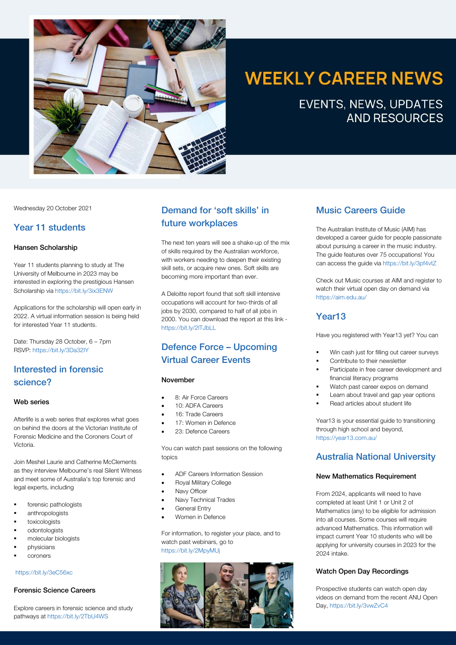

# **WEEKLY CAREER NEWS**

**EVENTS, NEWS, UPDATES AND RESOURCES** 

Wednesday 20 October 2021

### Year 11 students

#### Hansen Scholarship

Year 11 students planning to study at The University of Melbourne in 2023 may be interested in exploring the prestigious Hansen Scholarship via https://bit.ly/3ix3ENW

Applications for the scholarship will open early in 2022. A virtual information session is being held for interested Year 11 students.

Date: Thursday 28 October, 6 – 7pm RSVP: https://bit.ly/3Da32IY

# Interested in forensic science?

#### Web series

Afterlife is a web series that explores what goes on behind the doors at the Victorian Institute of Forensic Medicine and the Coroners Court of Victoria.

Join Meshel Laurie and Catherine McClements as they interview Melbourne's real Silent Witness and meet some of Australia's top forensic and legal experts, including

- forensic pathologists
- § anthropologists
- § toxicologists
- § odontologists
- § molecular biologists
- § physicians
- § coroners

#### https://bit.ly/3eC56xc

#### Forensic Science Careers

Explore careers in forensic science and study pathways at https://bit.ly/2TbU4WS

# Demand for 'soft skills' in future workplaces

The next ten years will see a shake-up of the mix of skills required by the Australian workforce, with workers needing to deepen their existing skill sets, or acquire new ones. Soft skills are becoming more important than ever.

A Deloitte report found that soft skill intensive occupations will account for two-thirds of all jobs by 2030, compared to half of all jobs in 2000. You can download the report at this link https://bit.ly/2lTJbLL

# Defence Force – Upcoming Virtual Career Events

#### November

- 8: Air Force Careers
- 10: ADFA Careers
- 16: Trade Careers
- 17: Women in Defence
- 23: Defence Careers

You can watch past sessions on the following topics

- ADF Careers Information Session
- Royal Military College
- Navy Officer
- Navy Technical Trades
- General Entry
- Women in Defence

For information, to register your place, and to watch past webinars, go to https://bit.ly/2MpyMUj



# Music Careers Guide

The Australian Institute of Music (AIM) has developed a career guide for people passionate about pursuing a career in the music industry. The guide features over 75 occupations! You can access the guide via https://bit.ly/3pf4vtZ

Check out Music courses at AIM and register to watch their virtual open day on demand via https://aim.edu.au/

# Year13

Have you registered with Year13 yet? You can

- § Win cash just for filling out career surveys
- Contribute to their newsletter
- Participate in free career development and financial literacy programs
- Watch past career expos on demand
- Learn about travel and gap year options
- § Read articles about student life

Year13 is your essential guide to transitioning through high school and beyond, https://year13.com.au/

# Australia National University

#### New Mathematics Requirement

From 2024, applicants will need to have completed at least Unit 1 or Unit 2 of Mathematics (any) to be eligible for admission into all courses. Some courses will require advanced Mathematics. This information will impact current Year 10 students who will be applying for university courses in 2023 for the 2024 intake.

#### Watch Open Day Recordings

Prospective students can watch open day videos on demand from the recent ANU Open Day, https://bit.ly/3vwZvC4